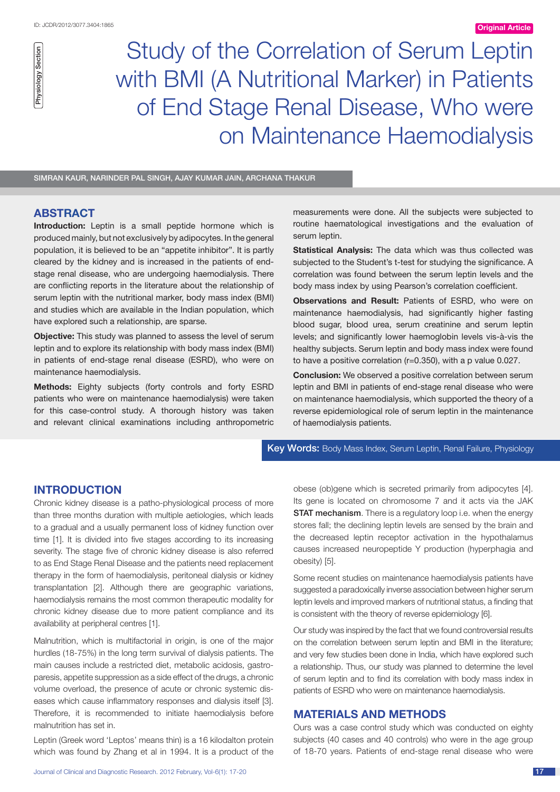Physiology Section

Physiology Section

Study of the Correlation of Serum Leptin with BMI (A Nutritional Marker) in Patients of End Stage Renal Disease, Who were on Maintenance Haemodialysis

Simran Kaur, Narinder Pal Singh, Ajay Kumar Jain, Archana Thakur

## **ABSTRACT**

**Introduction:** Leptin is a small peptide hormone which is produced mainly, but not exclusively by adipocytes. In the general population, it is believed to be an "appetite inhibitor". It is partly cleared by the kidney and is increased in the patients of endstage renal disease, who are undergoing haemodialysis. There are conflicting reports in the literature about the relationship of serum leptin with the nutritional marker, body mass index (BMI) and studies which are available in the Indian population, which have explored such a relationship, are sparse.

**Objective:** This study was planned to assess the level of serum leptin and to explore its relationship with body mass index (BMI) in patients of end-stage renal disease (ESRD), who were on maintenance haemodialysis.

**Methods:** Eighty subjects (forty controls and forty ESRD patients who were on maintenance haemodialysis) were taken for this case-control study. A thorough history was taken and relevant clinical examinations including anthropometric measurements were done. All the subjects were subjected to routine haematological investigations and the evaluation of serum leptin.

**Statistical Analysis:** The data which was thus collected was subjected to the Student's t-test for studying the significance. A correlation was found between the serum leptin levels and the body mass index by using Pearson's correlation coefficient.

**Observations and Result:** Patients of ESRD, who were on maintenance haemodialysis, had significantly higher fasting blood sugar, blood urea, serum creatinine and serum leptin levels; and significantly lower haemoglobin levels vis-à-vis the healthy subjects. Serum leptin and body mass index were found to have a positive correlation (r=0.350), with a p value 0.027.

**Conclusion:** We observed a positive correlation between serum leptin and BMI in patients of end-stage renal disease who were on maintenance haemodialysis, which supported the theory of a reverse epidemiological role of serum leptin in the maintenance of haemodialysis patients.

Key Words: Body Mass Index, Serum Leptin, Renal Failure, Physiology

# **INTRODUCTION**

Chronic kidney disease is a patho-physiological process of more than three months duration with multiple aetiologies, which leads to a gradual and a usually permanent loss of kidney function over time [1]. It is divided into five stages according to its increasing severity. The stage five of chronic kidney disease is also referred to as End Stage Renal Disease and the patients need replacement therapy in the form of haemodialysis, peritoneal dialysis or kidney transplantation [2]. Although there are geographic variations, haemodialysis remains the most common therapeutic modality for chronic kidney disease due to more patient compliance and its availability at peripheral centres [1].

Malnutrition, which is multifactorial in origin, is one of the major hurdles (18-75%) in the long term survival of dialysis patients. The main causes include a restricted diet, metabolic acidosis, gastroparesis, appetite suppression as a side effect of the drugs, a chronic volume overload, the presence of acute or chronic systemic diseases which cause inflammatory responses and dialysis itself [3]. Therefore, it is recommended to initiate haemodialysis before malnutrition has set in.

Leptin (Greek word 'Leptos' means thin) is a 16 kilodalton protein which was found by Zhang et al in 1994. It is a product of the

obese (ob)gene which is secreted primarily from adipocytes [4]. Its gene is located on chromosome 7 and it acts via the JAK **STAT mechanism**. There is a regulatory loop i.e. when the energy stores fall; the declining leptin levels are sensed by the brain and the decreased leptin receptor activation in the hypothalamus causes increased neuropeptide Y production (hyperphagia and obesity) [5].

Some recent studies on maintenance haemodialysis patients have suggested a paradoxically inverse association between higher serum leptin levels and improved markers of nutritional status, a finding that is consistent with the theory of reverse epidemiology [6].

Our study was inspired by the fact that we found controversial results on the correlation between serum leptin and BMI in the literature; and very few studies been done in India, which have explored such a relationship. Thus, our study was planned to determine the level of serum leptin and to find its correlation with body mass index in patients of ESRD who were on maintenance haemodialysis.

## **MATERIALS AND METHODS**

Ours was a case control study which was conducted on eighty subjects (40 cases and 40 controls) who were in the age group of 18-70 years. Patients of end-stage renal disease who were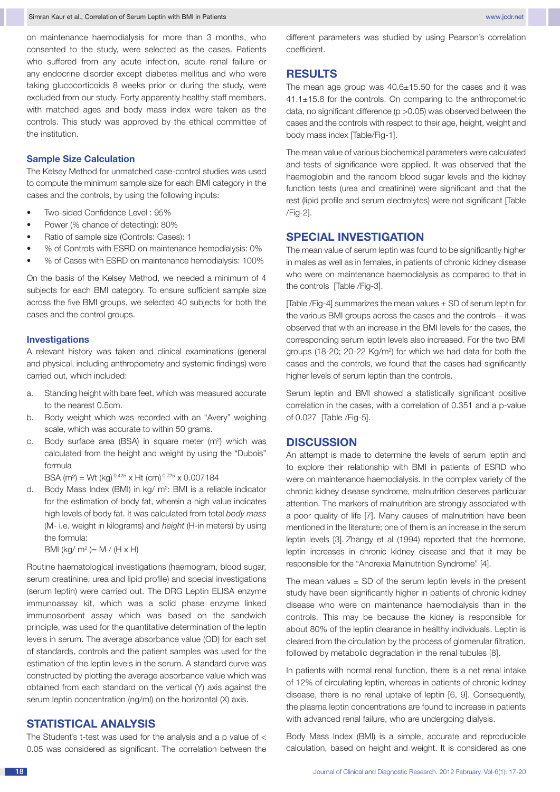on maintenance haemodialysis for more than 3 months, who consented to the study, were selected as the cases. Patients who suffered from any acute infection, acute renal failure or any endocrine disorder except diabetes mellitus and who were taking glucocorticoids 8 weeks prior or during the study, were excluded from our study. Forty apparently healthy staff members, with matched ages and body mass index were taken as the controls. This study was approved by the ethical committee of the institution.

## **Sample Size Calculation**

The Kelsey Method for unmatched case-control studies was used to compute the minimum sample size for each BMI category in the cases and the controls, by using the following inputs:

- Two-sided Confidence Level: 95%
- Power (% chance of detecting): 80%
- Ratio of sample size (Controls: Cases): 1
- % of Controls with ESRD on maintenance hemodialysis: 0%
- % of Cases with ESRD on maintenance hemodialysis: 100%

On the basis of the Kelsey Method, we needed a minimum of 4 subjects for each BMI category. To ensure sufficient sample size across the five BMI groups, we selected 40 subjects for both the cases and the control groups.

#### **Investigations**

A relevant history was taken and clinical examinations (general and physical, including anthropometry and systemic findings) were carried out, which included:

- a. Standing height with bare feet, which was measured accurate to the nearest 0.5cm.
- b. Body weight which was recorded with an "Avery" weighing scale, which was accurate to within 50 grams.
- c. Body surface area (BSA) in square meter (m<sup>2</sup>) which was calculated from the height and weight by using the "Dubois" formula

BSA (m<sup>2</sup>) = Wt (kg) <sup>0.425</sup> x Ht (cm) <sup>0.725</sup> x 0.007184

d. Body Mass Index (BMI) in kg/ m<sup>2</sup>: BMI is a reliable indicator for the estimation of body fat, wherein a high value indicates high levels of body fat. It was calculated from total *body mass* (M- i.e. weight in kilograms) and *height* (H-in meters) by using the formula:

 $BMI (kg/m^2) = M / (H \times H)$ 

Routine haematological investigations (haemogram, blood sugar, serum creatinine, urea and lipid profile) and special investigations (serum leptin) were carried out. The DRG Leptin ELISA enzyme immunoassay kit, which was a solid phase enzyme linked immunosorbent assay which was based on the sandwich principle, was used for the quantitative determination of the leptin levels in serum. The average absorbance value (OD) for each set of standards, controls and the patient samples was used for the estimation of the leptin levels in the serum. A standard curve was constructed by plotting the average absorbance value which was obtained from each standard on the vertical (Y) axis against the serum leptin concentration (ng/ml) on the horizontal (X) axis.

## **STATISTICAL ANALYSIS**

The Student's t-test was used for the analysis and a p value of  $<$ 0.05 was considered as significant. The correlation between the different parameters was studied by using Pearson's correlation coefficient.

## **RESULTS**

The mean age group was 40.6±15.50 for the cases and it was 41.1±15.8 for the controls. On comparing to the anthropometric data, no significant difference (p >0.05) was observed between the cases and the controls with respect to their age, height, weight and body mass index [Table/Fig-1].

The mean value of various biochemical parameters were calculated and tests of significance were applied. It was observed that the haemoglobin and the random blood sugar levels and the kidney function tests (urea and creatinine) were significant and that the rest (lipid profile and serum electrolytes) were not significant [Table /Fig-2].

## **SPECIAL INVESTIGATION**

The mean value of serum leptin was found to be significantly higher in males as well as in females, in patients of chronic kidney disease who were on maintenance haemodialysis as compared to that in the controls [Table /Fig-3].

[Table /Fig-4] summarizes the mean values  $\pm$  SD of serum leptin for the various BMI groups across the cases and the controls – it was observed that with an increase in the BMI levels for the cases, the corresponding serum leptin levels also increased. For the two BMI groups (18-20; 20-22 Kg/m<sup>2</sup>) for which we had data for both the cases and the controls, we found that the cases had significantly higher levels of serum leptin than the controls.

Serum leptin and BMI showed a statistically significant positive correlation in the cases, with a correlation of 0.351 and a p-value of 0.027 [Table /Fig-5].

### **DISCUSSION**

An attempt is made to determine the levels of serum leptin and to explore their relationship with BMI in patients of ESRD who were on maintenance haemodialysis. In the complex variety of the chronic kidney disease syndrome, malnutrition deserves particular attention. The markers of malnutrition are strongly associated with a poor quality of life [7]. Many causes of malnutrition have been mentioned in the literature; one of them is an increase in the serum leptin levels [3]. Zhangy et al (1994) reported that the hormone, leptin increases in chronic kidney disease and that it may be responsible for the "Anorexia Malnutrition Syndrome" [4].

The mean values  $\pm$  SD of the serum leptin levels in the present study have been significantly higher in patients of chronic kidney disease who were on maintenance haemodialysis than in the controls. This may be because the kidney is responsible for about 80% of the leptin clearance in healthy individuals. Leptin is cleared from the circulation by the process of glomerular filtration, followed by metabolic degradation in the renal tubules [8].

In patients with normal renal function, there is a net renal intake of 12% of circulating leptin, whereas in patients of chronic kidney disease, there is no renal uptake of leptin [6, 9]. Consequently, the plasma leptin concentrations are found to increase in patients with advanced renal failure, who are undergoing dialysis.

Body Mass Index (BMI) is a simple, accurate and reproducible calculation, based on height and weight. It is considered as one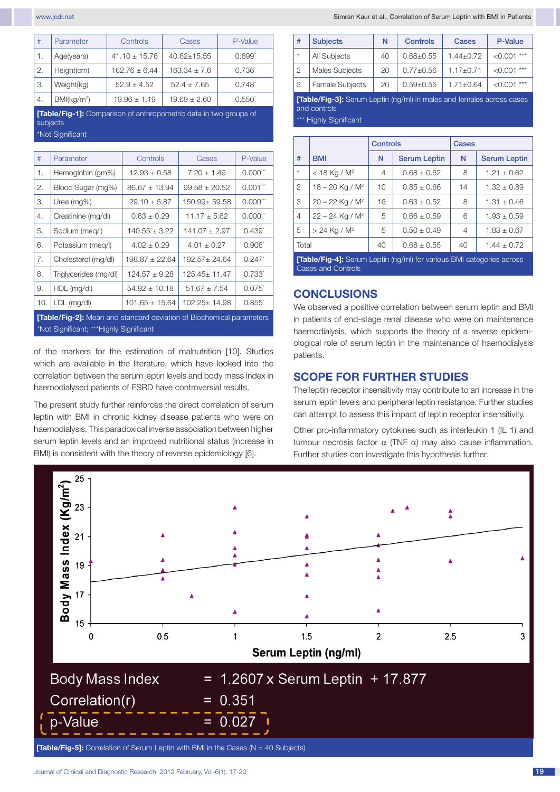| #               | Parameter               | Controls          | Cases            | P-Value           |
|-----------------|-------------------------|-------------------|------------------|-------------------|
| 1.              | Age(years)              | $41.10 \pm 15.76$ | $40.62 + 15.55$  | $0.899^{\degree}$ |
| $\mathfrak{2}.$ | Height(cm)              | $162.76 \pm 6.44$ | $163.34 \pm 7.6$ | $0.736^{*}$       |
| 3.              | Weight(kg)              | $52.9 + 4.52$     | $52.4 + 7.65$    | $0.748^{*}$       |
| 4.              | BMl(kg/m <sup>2</sup> ) | $19.96 \pm 1.19$  | $19.69 + 2.60$   | $0.550^{\circ}$   |

**[Table/Fig-1]:** Comparison of anthropometric data in two groups of subjects

\*Not Significant

| #                                                                           | Parameter             | Controls           | Cases             | P-Value         |
|-----------------------------------------------------------------------------|-----------------------|--------------------|-------------------|-----------------|
| 1.                                                                          | Hemoglobin (gm%)      | $12.93 + 0.58$     | $7.20 \pm 1.49$   | $0.000***$      |
| 2.                                                                          | Blood Sugar (mg%)     | $86.67 \pm 13.94$  | $99.58 \pm 20.52$ | $0.001$ ***     |
| 3.                                                                          | Urea (mg%)            | $29.10 \pm 5.87$   | 150.99± 59.58     | $0.000***$      |
| 4.                                                                          | Creatinine (mg/dl)    | $0.63 \pm 0.29$    | $11.17 \pm 5.62$  | $0.000***$      |
| 5.                                                                          | Sodium (meg/l)        | $140.55 \pm 3.22$  | $141.07 \pm 2.97$ | $0.439^{*}$     |
| 6.                                                                          | Potassium (meg/l)     | $4.02 + 0.29$      | $4.01 \pm 0.27$   | $0.906^*$       |
| 7.                                                                          | Cholesterol (mg/dl)   | $198.87 + 22.64$   | $192.57 + 24.64$  | 0.247           |
| 8.                                                                          | Triglycerides (mg/dl) | $124.57 + 9.28$    | 125.45± 11.47     | 0.733*          |
| 9.                                                                          | HDL (mg/dl)           | $54.92 \pm 10.18$  | $51.67 \pm 7.54$  | $0.075^{\circ}$ |
| 10.                                                                         | LDL (mg/dl)           | $101.65 \pm 15.64$ | $102.25 + 14.98$  | $0.855^*$       |
| <b>[Table/Fig-2]:</b> Mean and standard deviation of Biochemical parameters |                       |                    |                   |                 |

\*Not Significant; \*\*\*Highly Significant

of the markers for the estimation of malnutrition [10]. Studies which are available in the literature, which have looked into the correlation between the serum leptin levels and body mass index in haemodialysed patients of ESRD have controversial results.

The present study further reinforces the direct correlation of serum leptin with BMI in chronic kidney disease patients who were on haemodialysis. This paradoxical inverse association between higher serum leptin levels and an improved nutritional status (increase in BMI) is consistent with the theory of reverse epidemiology [6].

| # | <b>Subjects</b>        | N  | <b>Controls</b> | <b>Cases</b>  | <b>P-Value</b>   |
|---|------------------------|----|-----------------|---------------|------------------|
|   | All Subjects           | 40 | $0.68 + 0.55$   | $1.44 + 0.72$ | $***$<br>< 0.001 |
| 2 | Males Subjects         | 20 | $0.77+0.56$     | $1.17 + 0.71$ | $***$<br>< 0.001 |
|   | <b>Female Subjects</b> | 20 | $0.59 + 0.55$   | $1.71 + 0.64$ | $***$<br>< 0.001 |

**[Table/Fig-3]:** Serum Leptin (ng/ml) in males and females across cases and controls

\*\*\* Highly Significant

|                                                                              |                               | Controls |                     | Cases |                     |
|------------------------------------------------------------------------------|-------------------------------|----------|---------------------|-------|---------------------|
| #                                                                            | <b>BMI</b>                    | N        | <b>Serum Leptin</b> | N     | <b>Serum Leptin</b> |
| 1                                                                            | $<$ 18 Kg / M <sup>2</sup>    | 4        | $0.68 \pm 0.62$     | 8     | $1.21 \pm 0.62$     |
| 2                                                                            | $18 - 20$ Kg / M <sup>2</sup> | 10       | $0.85 \pm 0.66$     | 14    | $1.32 \pm 0.89$     |
| 3                                                                            | $20 - 22$ Kg / M <sup>2</sup> | 16       | $0.63 \pm 0.52$     | 8     | $1.31 \pm 0.46$     |
| $\overline{4}$                                                               | $22 - 24$ Kg / M <sup>2</sup> | 5        | $0.66 \pm 0.59$     | 6     | $1.93 \pm 0.59$     |
| 5                                                                            | $> 24$ Kg / M <sup>2</sup>    | 5        | $0.50 \pm 0.49$     | 4     | $1.83 \pm 0.67$     |
| Total                                                                        |                               | 40       | $0.68 \pm 0.55$     | 40    | $1.44 \pm 0.72$     |
| <b>[Table/Fig-4]:</b> Serum Leptin (ng/ml) for various BMI categories across |                               |          |                     |       |                     |

Cases and Controls

## **CONCLUSIONS**

We observed a positive correlation between serum leptin and BMI in patients of end-stage renal disease who were on maintenance haemodialysis, which supports the theory of a reverse epidemiological role of serum leptin in the maintenance of haemodialysis patients.

# **SCOPE FOR FURTHER STUDIES**

The leptin receptor insensitivity may contribute to an increase in the serum leptin levels and peripheral leptin resistance. Further studies can attempt to assess this impact of leptin receptor insensitivity.

Other pro-inflammatory cytokines such as interleukin 1 (IL 1) and tumour necrosis factor α (TNF α) may also cause inflammation. Further studies can investigate this hypothesis further.